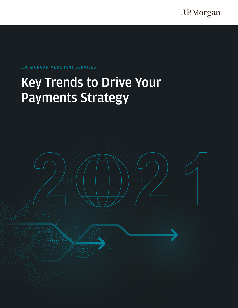J.P.Morgan

### **J.P. MORGAN MERCHANT SERVICES**

# **Key Trends to Drive Your Payments Strategy**

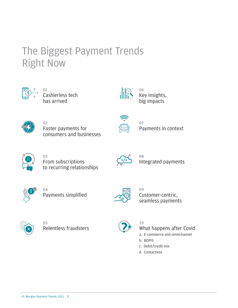# The Biggest Payment Trends Right Now



**01** Cashierless tech has arrived



**06** Key insights, big impacts



**02** Faster payments for consumers and businesses



**07** Payments in context



**03** From subscriptions to recurring relationships



**08** Integrated payments



**04** Payments simplified



**09** Customer-centric, seamless payments



**05** Relentless fraudsters



**10** What happens after Covid

- a. E-commerce and omnichannel
- b. BOPIS
- c. Debit/credit mix
- d. Contactless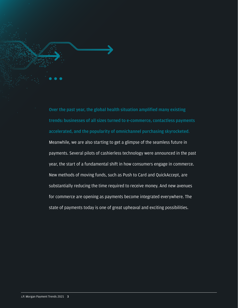**Over the past year, the global health situation amplified many existing trends: businesses of all sizes turned to e-commerce, contactless payments accelerated, and the popularity of omnichannel purchasing skyrocketed**.

Meanwhile, we are also starting to get a glimpse of the seamless future in payments. Several pilots of cashierless technology were announced in the past year, the start of a fundamental shift in how consumers engage in commerce. New methods of moving funds, such as Push to Card and QuickAccept, are substantially reducing the time required to receive money. And new avenues for commerce are opening as payments become integrated everywhere. The state of payments today is one of great upheaval and exciting possibilities.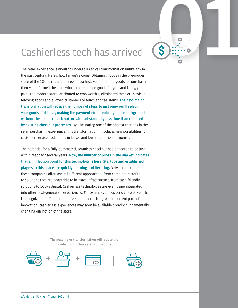# Cashierless tech has arrived **01**<br>The retail experience is about to undergo a radical transformation unlike any in

The retail experience is about to undergo a radical transformation unlike any in the past century. Here's how far we've come. Obtaining goods in the pre-modern store of the 1800s required three steps: first, you identified goods for purchase; then you informed the clerk who obtained those goods for you; and lastly, you paid. The modern store, attributed to Woolworth's, eliminated the clerk's role in fetching goods and allowed customers to touch and feel items. **The next major transformation will reduce the number of steps to just one—you'll select your goods and leave, making the payment either entirely in the background without the need to check out, or with substantially less time than required by existing checkout processes.** By eliminating one of the biggest frictions in the retail purchasing experience, this transformation introduces new possibilities for customer service, reductions in losses and lower operational expense.

The potential for a fully-automated, seamless checkout had appeared to be just within reach for several years. **Now, the number of pilots in the market indicates that an inflection point for this technology is here. Startups and established players in this space are quickly learning and iterating.** Between them, these companies offer several different approaches—from complete retrofits to solutions that are adaptable to in-place infrastructure, from cash-friendly solutions to 100% digital. Cashierless technologies are even being integrated into other next-generation experiences. For example, a shopper's voice or vehicle is recognized to offer a personalized menu or pricing. At the current pace of innovation, cashierless experiences may soon be available broadly, fundamentally changing our notion of the store.

> **The next major transformation will reduce the number of purchase steps to just one.**







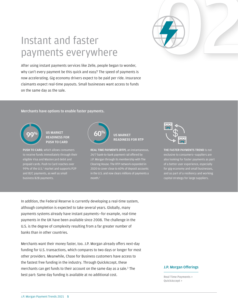

# Instant and faster payments everywhere

After using instant payments services like Zelle, people began to wonder, why can't every payment be this quick and easy? The speed of payments is now accelerating. Gig economy drivers expect to be paid per ride. Insurance claimants expect real-time payouts. Small businesses want access to funds on the same day as the sale.

**Merchants have options to enable faster payments.**



**US MARKET**   $\left( \begin{array}{c} 0 \ 0 \end{array} \right)$  is market  $\left( \begin{array}{c} 60\% \end{array} \right)$ **PUSH TO CARD**

**PUSH TO CARD**, which allows consumers to receive funds immediately through their eligible Visa and Mastercard debit and prepaid cards. Push to Card reaches over 99% of the U.S.<sup>1</sup> market and supports P2P and B2C payments, as well as small business B2B payments.

| $\frac{9}{6}$ |
|---------------|
|               |

### **US MARKET READINESS FOR RTP**

**REAL TIME PAYMENTS (RTP)**, an instantaneous, 24/7 bank-to-bank payment rail offered by J.P. Morgan through its membership with The Clearing House. The RTP network expanded in 2020 to cover close to 60% of deposit accounts in the U.S. and now clears millions of payments a month. 2



**THE FASTER PAYMENTS TREND** is not exclusive to consumers—suppliers are also looking for faster payments as part of a better user experience, especially for gig-economy and small businesses, and as part of a resiliency and working capital strategy for large suppliers.

In addition, the Federal Reserve is currently developing a real-time system, although completion is expected to take several years. Globally, many payments systems already have instant payments—for example, real-time payments in the UK have been available since 2008. The challenge in the U.S. is the degree of complexity resulting from a far greater number of banks than in other countries.

Merchants want their money faster, too. J.P. Morgan already offers next-day funding for U.S. transactions, which compares to two days or longer for most other providers. Meanwhile, Chase for Business customers have access to the fastest free funding in the industry. Through QuickAccept, these merchants can get funds to their account on the same day as a sale.<sup>3</sup> The best part: Same day funding is available at no additional cost.

### **J.P. Morgan Offerings**

**[Real Time Payments >](https://www.jpmorgan.com/commercial-banking/insights/first-new-payment-rail-in-40-years) [QuickAccept >](https://www.chase.com/business/online-banking/quickaccept)**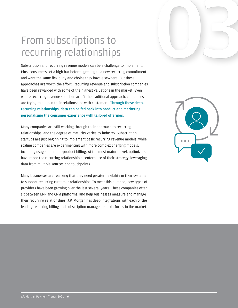# From subscriptions to recurring relationships

Subscription and recurring revenue models can be a challenge to implement. Plus, consumers set a high bar before agreeing to a new recurring commitment and want the same flexibility and choice they have elsewhere. But these approaches are worth the effort. Recurring revenue and subscription companies have been rewarded with some of the highest valuations in the market. Even where recurring revenue solutions aren't the traditional approach, companies are trying to deepen their relationships with customers. **Through these deep, recurring relationships, data can be fed back into product and marketing, personalizing the consumer experience with tailored offerings.**

Many companies are still working through their approach to recurring relationships, and the degree of maturity varies by industry. Subscription startups are just beginning to implement basic recurring revenue models, while scaling companies are experimenting with more complex charging models, including usage and multi-product billing. At the most mature level, optimizers have made the recurring relationship a centerpiece of their strategy, leveraging data from multiple sources and touchpoints.

Many businesses are realizing that they need greater flexibility in their systems to support recurring customer relationships. To meet this demand, new types of providers have been growing over the last several years. These companies often sit between ERP and CRM platforms, and help businesses measure and manage their recurring relationships. J.P. Morgan has deep integrations with each of the leading recurring billing and subscription management platforms in the market.



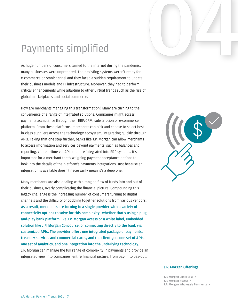

# Payments simplified

As huge numbers of consumers turned to the internet during the pandemic, many businesses were unprepared. Their existing systems weren't ready for e-commerce or omnichannel and they faced a sudden requirement to update their business models and IT infrastructure. Moreover, they had to perform critical enhancements while adapting to other virtual trends such as the rise of global marketplaces and social commerce.

How are merchants managing this transformation? Many are turning to the convenience of a range of integrated solutions. Companies might access payments acceptance through their ERP/CRM, subscription or e-commerce platform. From these platforms, merchants can pick and choose to select bestin-class suppliers across the technology ecosystem, integrating quickly through APIs. Taking that one step further, banks like J.P. Morgan can allow merchants to access information and services beyond payments, such as balances and reporting, via real-time via APIs that are integrated into ERP systems. It's important for a merchant that's weighing payment acceptance options to look into the details of the platform's payments integrations. Just because an integration is available doesn't necessarily mean it's a deep one.

Many merchants are also dealing with a tangled flow of funds into and out of their business, overly complicating the financial picture. Compounding this legacy challenge is the increasing number of consumers turning to digital channels and the difficulty of cobbling together solutions from various vendors. **As a result, merchants are turning to a single provider with a variety of connectivity options to solve for this complexity**—**whether that's using a plugand-play bank platform like J.P. Morgan Access or a white label, embedded solution like J.P. Morgan Concourse, or connecting directly to the bank via customized APIs. The provider offers one integrated package of payments, treasury services and commercial cards, and the client gets one set of APIs, one set of analytics, and one integration into the underlying technology.** J.P. Morgan can manage the full range of complexity in payments and provide an integrated view into companies' entire financial picture, from pay-in to pay-out.



### **J.P. Morgan Offerings**

**[J.P. Morgan Concourse >](https://www.jpmorgan.com/solutions/treasury-payments/digitalchannels/
concourse) [J.P. Morgan Access >](https://www.jpmorgan.com/solutions/treasury-payments/digital-channels)**

**[J.P. Morgan Wholesale Payments >](https://playbook-staging.apps.dev.na-4a.gaia.jpmchase.net/wholesalepayments/openbanking/#/)**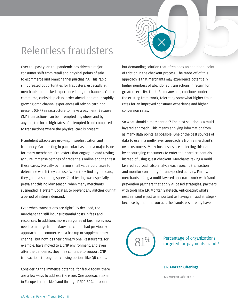

Over the past year, the pandemic has driven a major consumer shift from retail and physical points of sale to ecommerce and omnichannel purchasing. This rapid shift created opportunities for fraudsters, especially at merchants that lacked experience in digital channels. Online commerce, curbside pickup, order ahead, and other rapidly growing omnichannel experiences all rely on card-notpresent (CNP) infrastructure to make a payment. Because CNP transactions can be attempted anywhere and by anyone, the incur high rates of attempted fraud compared to transactions where the physical card is present.

Fraudulent attacks are growing in sophistication and frequency. Card testing in particular has been a major issue for many merchants. Fraudsters that engage in card testing acquire immense batches of credentials online and then test these cards, typically by making small value purchases to determine which they can use. When they find a good card, they go on a spending spree. Card testing was especially prevalent this holiday season, when many merchants suspended IT system updates, to prevent any glitches during a period of intense demand.

Even when transactions are rightfully declined, the merchant can still incur substantial costs in fees and resources. In addition, more categories of businesses now need to manage fraud. Many merchants had previously approached e-commerce as a backup or supplementary channel, but now it's their primary one. Restaurants, for example, have moved to a CNP environment, and even after the pandemic, they may continue to support CNP transactions through purchasing options like QR codes.

Considering the immense potential for fraud today, there are a few ways to address the issue. One approach taken in Europe is to tackle fraud through PSD2 SCA, a robust

but demanding solution that often adds an additional point of friction in the checkout process. The trade-off of this approach is that merchants may experience potentially higher numbers of abandoned transactions in return for greater security. The U.S., meanwhile, continues under the existing framework, tolerating somewhat higher fraud rates for an improved consumer experience and higher conversion rates.

So what should a merchant do? The best solution is a multilayered approach. This means applying information from as many data points as possible. One of the best sources of data to use in a multi-layer approach is from a merchant's own customers. Many businesses are collecting this data by encouraging consumers to enter their card credentials, instead of using guest checkout. Merchants taking a multilayered approach also analyze each specific transaction and monitor constantly for unexpected activity. Finally, merchants taking a multi-layered approach work with fraud prevention partners that apply AI-based strategies, partners with tools like J.P. Morgan Safetech. Anticipating what's next in fraud is just as important as having a fraud strategy– because by the time you act, the fraudsters already have.



 $81\%$  Percentage of organizations targeted for payments fraud  $^4$ 

### **J.P. Morgan Offerings**

**[J.P. Morgan Safetech >](https://www.jpmorgan.com/merchant-services/solutions?deeplink=multiTabNav1::tab1_accordion1::tab4)**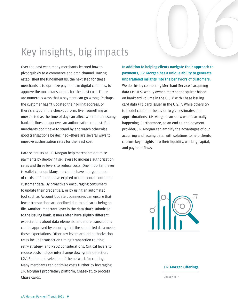# Key insights, big impacts

Over the past year, many merchants learned how to pivot quickly to e-commerce and omnichannel. Having established the fundamentals, the next step for these merchants is to optimize payments in digital channels, to approve the most transactions for the least cost. There are numerous ways that a payment can go wrong. Perhaps the customer hasn't updated their billing address, or there's a typo in the checkout form. Even something as unexpected as the time of day can affect whether an issuing bank declines or approves an authorization request. But merchants don't have to stand by and watch otherwise good transactions be declined—there are several ways to improve authorization rates for the least cost.

Data scientists at J.P. Morgan help merchants optimize payments by deploying six levers to increase authorization rates and three levers to reduce costs. One important lever is wallet cleanup. Many merchants have a large number of cards on file that have expired or that contain outdated customer data. By proactively encouraging consumers to update their credentials, or by using an automated tool such as Account Updater, businesses can ensure that fewer transactions are declined due to old cards being on file. Another important lever is the data that's submitted to the issuing bank. Issuers often have slightly different expectations about data elements, and more transactions can be approved by ensuring that the submitted data meets those expectations. Other key levers around authorization rates include transaction timing, transaction routing, retry strategy, and PSD2 considerations. Critical levers to reduce costs include interchange downgrade detection, L2/L3 data, and selection of the network for routing. Many merchants can optimize costs further by leveraging J.P. Morgan's proprietary platform, ChaseNet, to process Chase cards.

**ng clients navigate their approach to**<br>**gan has a unique ability to generate In addition to helping clients navigate their approach to payments, J.P. Morgan has a unique ability to generate unparalleled insights into the behaviors of customers.** We do this by connecting Merchant Services' acquiring data (#1 U.S. wholly owned merchant acquirer based on bankcard volume in the U.S.) $5$  with Chase issuing card data (#1 card issuer in the U.S.)<sup>6</sup>. While others try to model customer behavior to give estimates and approximations, J.P. Morgan can show what's actually happening. Furthermore, as an end-to-end payment provider, J.P. Morgan can amplify the advantages of our acquiring and issuing data, with solutions to help clients capture key insights into their liquidity, working capital, and payment flows.



### **J.P. Morgan Offerings**

**[ChaseNet >](https://www.jpmorgan.com/merchant-services/solutions?deeplink=multiTabNav1::tab1_accordion1::tab3)**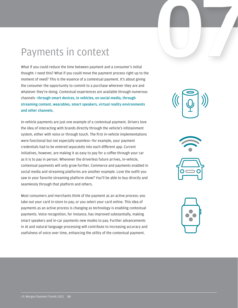

# Payments in context

W hat if you could reduce the t ime between payment and a consumer's initial th ou ght: I need this? What if you could move the payment process right up to the mo ment of need? This is the essence of a contextual payment. It's abou t g iving the consumer the opportunity to commit to a purchase wherever they are and whatever they're doing. Contextual experiences are available through numerous channels—**through smart devices, in vehicles, on social media, through streaming content, wearables, smart speakers, virtual reality environments and other channels.**

In-vehicle payments are just one example of a contextual payment. Drivers love the idea of interacting with brands directly through the vehicle's infotainment system, either with voice or through touch. The first in-vehicle implementations were functional but not especially seamless—for example, your payment credentials had to be entered separately into each different app. Current initiatives, however, are making it as easy to pay for a coffee through your car as it is to pay in person. Whenever the driverless future arrives, in-vehicle, contextual payments will only grow further. Commerce and payments enabled in social media and streaming platforms are another example. Love the outfit you saw in your favorite streaming platform show? You'll be able to buy directly and seamlessly through that platform and others.

Most consumers and merchants think of the payment as an active process: you take out your card in-store to pay, or you select your card online. This idea of payments as an active process is changing as technology is enabling contextual payments. Voice recognition, for instance, has improved substantially, making smart speakers and in-car payments new modes to pay. Further advancements in AI and natural language processing will contribute to increasing accuracy and usefulness of voice over time, enhancing the utility of the contextual payment.





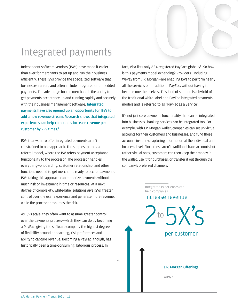# Integrated payments<br>
Independent software vendors (ISVs) have made it easier<br>
than ever for merchants to set up and run their business<br>
is this payments model expanding? Providers—including

Independent software vendors (ISVs) have made it easier than ever for merchants to set up and run their business efficiently. These ISVs provide the specialized software that businesses run on, and often include integrated or embedded payments. The advantage for the merchant is the ability to get payments acceptance up and running rapidly and securely with their business management software. **Integrated payments have also opened up an opportunity for ISVs to add a new revenue stream. Research shows that integrated experiences can help companies increase revenue per customer by 2–5 times.7**

ISVs that want to offer integrated payments aren't constrained to one approach. The simplest path is a referral model, where the ISV refers payment acceptance functionality to the processor. The processor handles everything—onboarding, customer relationship, and other functions needed to get merchants ready to accept payments. ISVs taking this approach can monetize payments without much risk or investment in time or resources. At a next degree of complexity, white-label solutions give ISVs greater control over the user experience and generate more revenue, while the processor assumes the risk.

As ISVs scale, they often want to assume greater control over the payments process—which they can do by becoming a PayFac, giving the software company the highest degree of flexibility around onboarding, risk preferences and ability to capture revenue. Becoming a PayFac, though, has historically been a time-consuming, laborious process. In

fact, Visa lists only 634 registered PayFacs globally<sup>8</sup>. So how is this payments model expanding? Providers—including WePay from J.P. Morgan—are enabling ISVs to perform nearly all the services of a traditional PayFac, without having to become one themselves. This kind of solution is a hybrid of the traditional white-label and PayFac integrated payments models and is referred to as "PayFac as a Service".

It's not just core payments functionality that can be integrated into businesses—banking services can be integrated too. For example, with J.P. Morgan Wallet, companies can set up virtual accounts for their customers and businesses, and fund those accounts instantly, capturing information at the individual and business level. Since these aren't traditional bank accounts but rather virtual ones, customers can then keep their money in the wallet, use it for purchases, or transfer it out through the company's preferred channels.

> Integrated experiences can help companies

### Increase revenue

 $10\,5\times\,5$ per customer **[WePay >](https://go.wepay.com/) J.P. Morgan Offerings**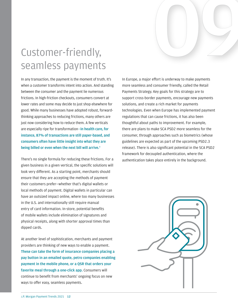# seamless payments Custome r-friendly,

In any transaction, the payment is the moment of truth. It's when a customer transforms intent into action. And standing between the consumer and the payment lie numerous frictions. In high-friction checkouts, consumers convert at lower rates and some may decide to just shop elsewhere for good. While many businesses have adopted robust, forwardthinking approaches to reducing frictions, many others are just now considering how to reduce them. A few verticals are especially ripe for transformation—**in health care, for instance, 87% of transactions are still paper-based, and consumers often have little insight into what they are being billed or even when the next bill will arrive.**<sup>9</sup>

There's no single formula for reducing these frictions. For a given business in a given vertical, the specific solutions will look very different. As a starting point, merchants should ensure that they are accepting the methods of payment their customers prefer—whether that's digital wallets or local methods of payment. Digital wallets in particular can have an outsized impact online, where too many businesses in the U.S. and internationally still require manual entry of card information. In-store, potential benefits of mobile wallets include elimination of signatures and physical receipts, along with shorter approval times than dipped cards.

At another level of sophistication, merchants and payment providers are thinking of new ways to enable a payment. **These can take the form of insurance companies placing a pay button in an emailed quote, petro companies enabling payment in the mobile phone, or a QSR that orders your favorite meal through a one-click app.** Consumers will continue to benefit from merchants' ongoing focus on new ways to offer easy, seamless payments.

In Europe, a major effort is underway to make payments more seamless and consumer friendly, called the Retail Payments Strategy. Key goals for this strategy are to support cross-border payments, encourage new payments solutions, and create a rich market for payments technologies. Even when Europe has implemented payment regulations that can cause frictions, it has also been thoughtful about paths to improvement. For example, there are plans to make SCA PSD2 more seamless for the consumer, through approaches such as biometrics (whose guidelines are expected as part of the upcoming PSD2.3 release). There is also significant potential in the SCA PSD2 framework for decoupled authentication, where the authentication takes place entirely in the background.

**09** 

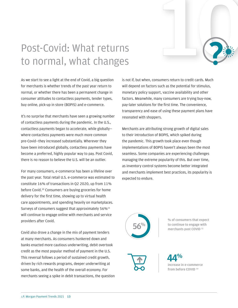# Post-Covid: What returns to normal, what changes



It's no surprise that merchants have seen a growing number of contactless payments during the pandemic. In the U.S., contactless payments began to accelerate, while globally where contactless payments were much more common pre-Covid—they increased substantially. Wherever they have been introduced globally, contactless payments have become a preferred, highly popular way to pay. Post Covid, there is no reason to believe the U.S. will be an outlier.

For many consumers, e-commerce has been a lifeline over the past year. Total retail U.S. e-commerce was estimated to constitute 16% of transactions in Q2 2020, up from 11% before Covid. <sup>10</sup> Consumers are buying groceries for home delivery for the first time, showing up to virtual health care appointments, and spending heavily on marketplaces. Surveys of consumers suggest that approximately 56%<sup>11</sup> will continue to engage online with merchants and service providers after Covid.

Covid also drove a change in the mix of payment tenders at many merchants. As consumers hunkered down and banks enacted more cautious underwriting, debit overtook credit as the most popular method of payment in the U.S. This reversal follows a period of sustained credit growth, driven by rich rewards programs, deeper underwriting at some banks, and the health of the overall economy. For merchants seeing a spike in debit transactions, the question is not if, but when, consumers return to credit cards. Much will depend on factors such as the potential for stimulus, monetary policy support, vaccine availability and other factors. Meanwhile, many consumers are trying buy-now, pay-later solutions for the first time. The convenience, transparency and ease of using these payment plans have resonated with shoppers.

100

Merchants are attributing strong growth of digital sales to their introduction of BOPIS, which spiked during the pandemic. This growth took place even though implementations of BOPIS haven't always been the most seamless. Some companies are experiencing challenges managing the extreme popularity of this. But over time, as inventory control systems become better integrated and merchants implement best practices, its popularity is expected to endure.



**% of consumers that expect to continue to engage with merchants post COVID <sup>1</sup><sup>1</sup>**



**44% increase in e-commerce from before COVID <sup>10</sup>**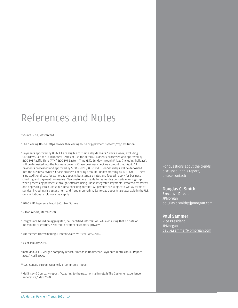## References and Notes

1 Source: Visa, Mastercard

2 The Clearing House, https://www.theclearinghouse.org/payment-systems/rtp/institution

3 Payments approved by 8 PM ET are eligible for same-day deposits 6 days a week, excluding Saturdays. See the QuickAccept Terms of Use for details. Payments processed and approved by 5:00 PM Pacific Time (PT) / 8:00 PM Eastern Time (ET), Sunday through Friday (including holidays), will be deposited into the business owner's Chase business checking account that night. All payments processed and approved by 5:00 PM PT / 8:00 PM ET on Saturdays will be deposited into the business owner's Chase business checking account Sunday morning by 7:30 AM ET. There is no additional cost for same-day deposits but standard rates and fees will apply for business checking and payment processing. New customers qualify for same-day deposits upon sign-up when processing payments through software using Chase Integrated Payments, Powered by WePay and depositing into a Chase business checking account. All payouts are subject to WePay terms of service, including risk assessment and fraud monitoring. Same-day deposits are available in the U.S. only. Additional exclusions may apply.

4 2020 AFP Payments Fraud & Control Survey.

- 5 Nilson report, March 2020.
- 6 Insights are based on aggregated, de-identified information, while ensuring that no data on individuals or entities is shared to protect customers' privacy.
- 7 Andreessen Horowitz blog, Fintech Scales Vertical SaaS, 2019.
- 8 As of January 2021.
- 9 InstaMed, a J.P. Morgan company report, "Trends in Healthcare Payments Tenth Annual Report, 2019," April 2020.
- <sup>10</sup> U.S. Census Bureau, Quarterly E-Commerce Report.
- <sup>11</sup> McKinsey & Company report, "Adapting to the next normal in retail: The Customer experience imperative," May 2020

For questions about the trends discussed in this report, please contact:

### **Douglas C. Smith**

Executive Director JPMorgan douglas.c.smith@jpmorgan.com

### **Paul Sammer**

Vice President **JPMorgan** paul.e.sammer@jpmorgan.com